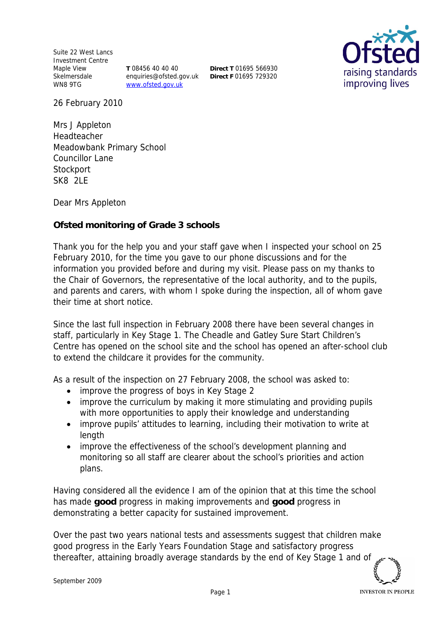Suite 22 West Lancs Investment Centre Maple View Skelmersdale WN8 9TG

**T** 08456 40 40 40 enquiries@ofsted.gov.uk www.ofsted.gov.uk

**Direct T** 01695 566930 **Direct F** 01695 729320



26 February 2010

Mrs J Appleton Headteacher Meadowbank Primary School Councillor Lane **Stockport** SK8 2LE

Dear Mrs Appleton

**Ofsted monitoring of Grade 3 schools**

Thank you for the help you and your staff gave when I inspected your school on 25 February 2010*,* for the time you gave to our phone discussions and for the information you provided before and during my visit*.* Please pass on my thanks to the Chair of Governors, the representative of the local authority, and to the pupils, and parents and carers, with whom I spoke during the inspection, all of whom gave their time at short notice.

Since the last full inspection in February 2008 there have been several changes in staff, particularly in Key Stage 1. The Cheadle and Gatley Sure Start Children's Centre has opened on the school site and the school has opened an after-school club to extend the childcare it provides for the community.

As a result of the inspection on 27 February 2008, the school was asked to:

- improve the progress of boys in Key Stage 2
- improve the curriculum by making it more stimulating and providing pupils with more opportunities to apply their knowledge and understanding
- improve pupils' attitudes to learning, including their motivation to write at length
- improve the effectiveness of the school's development planning and monitoring so all staff are clearer about the school's priorities and action plans.

Having considered all the evidence I am of the opinion that at this time the school has made **good** progress in making improvements and **good** progress in demonstrating a better capacity for sustained improvement.

Over the past two years national tests and assessments suggest that children make good progress in the Early Years Foundation Stage and satisfactory progress thereafter, attaining broadly average standards by the end of Key Stage 1 and of

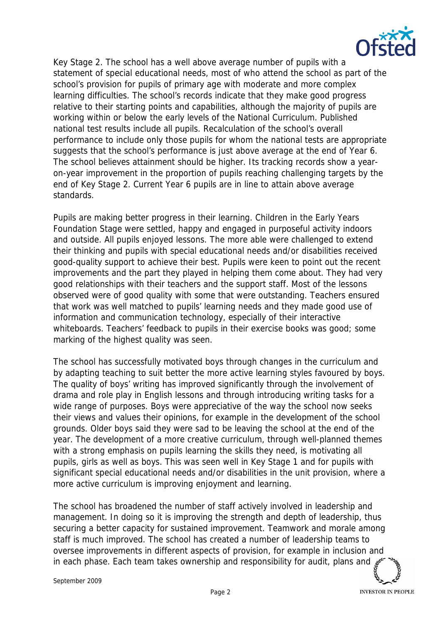

Key Stage 2. The school has a well above average number of pupils with a statement of special educational needs, most of who attend the school as part of the school's provision for pupils of primary age with moderate and more complex learning difficulties. The school's records indicate that they make good progress relative to their starting points and capabilities, although the majority of pupils are working within or below the early levels of the National Curriculum. Published national test results include all pupils. Recalculation of the school's overall performance to include only those pupils for whom the national tests are appropriate suggests that the school's performance is just above average at the end of Year 6. The school believes attainment should be higher. Its tracking records show a yearon-year improvement in the proportion of pupils reaching challenging targets by the end of Key Stage 2. Current Year 6 pupils are in line to attain above average standards.

Pupils are making better progress in their learning. Children in the Early Years Foundation Stage were settled, happy and engaged in purposeful activity indoors and outside. All pupils enjoyed lessons. The more able were challenged to extend their thinking and pupils with special educational needs and/or disabilities received good-quality support to achieve their best. Pupils were keen to point out the recent improvements and the part they played in helping them come about. They had very good relationships with their teachers and the support staff. Most of the lessons observed were of good quality with some that were outstanding. Teachers ensured that work was well matched to pupils' learning needs and they made good use of information and communication technology, especially of their interactive whiteboards. Teachers' feedback to pupils in their exercise books was good; some marking of the highest quality was seen.

The school has successfully motivated boys through changes in the curriculum and by adapting teaching to suit better the more active learning styles favoured by boys. The quality of boys' writing has improved significantly through the involvement of drama and role play in English lessons and through introducing writing tasks for a wide range of purposes. Boys were appreciative of the way the school now seeks their views and values their opinions, for example in the development of the school grounds. Older boys said they were sad to be leaving the school at the end of the year. The development of a more creative curriculum, through well-planned themes with a strong emphasis on pupils learning the skills they need, is motivating all pupils, girls as well as boys. This was seen well in Key Stage 1 and for pupils with significant special educational needs and/or disabilities in the unit provision, where a more active curriculum is improving enjoyment and learning.

The school has broadened the number of staff actively involved in leadership and management. In doing so it is improving the strength and depth of leadership, thus securing a better capacity for sustained improvement. Teamwork and morale among staff is much improved. The school has created a number of leadership teams to oversee improvements in different aspects of provision, for example in inclusion and in each phase. Each team takes ownership and responsibility for audit, plans and